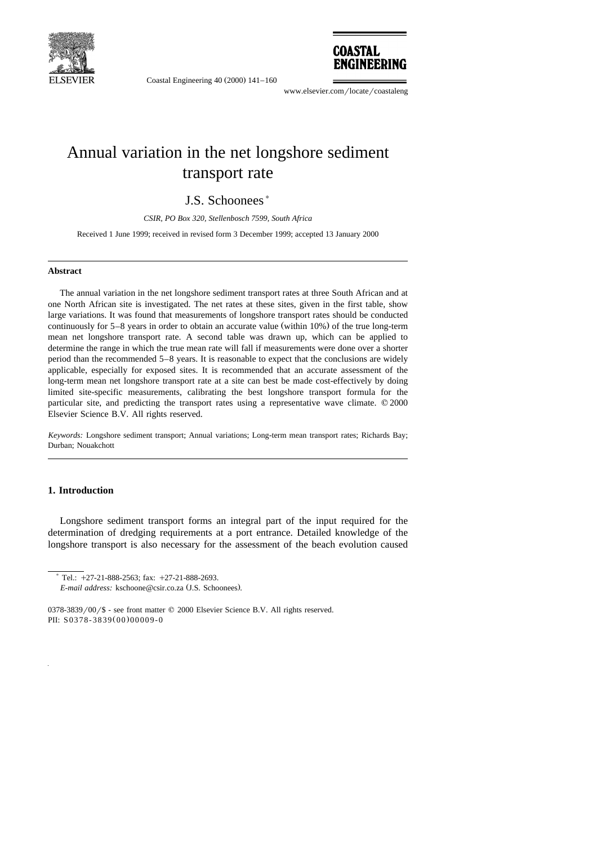

Coastal Engineering 40 (2000) 141-160



www.elsevier.com/locate/coastaleng

# Annual variation in the net longshore sediment transport rate

I.S. Schoonees<sup>\*</sup>

*CSIR, PO Box 320, Stellenbosch 7599, South Africa*

Received 1 June 1999; received in revised form 3 December 1999; accepted 13 January 2000

#### **Abstract**

The annual variation in the net longshore sediment transport rates at three South African and at one North African site is investigated. The net rates at these sites, given in the first table, show large variations. It was found that measurements of longshore transport rates should be conducted continuously for  $5-8$  years in order to obtain an accurate value (within 10%) of the true long-term mean net longshore transport rate. A second table was drawn up, which can be applied to determine the range in which the true mean rate will fall if measurements were done over a shorter period than the recommended 5–8 years. It is reasonable to expect that the conclusions are widely applicable, especially for exposed sites. It is recommended that an accurate assessment of the long-term mean net longshore transport rate at a site can best be made cost-effectively by doing limited site-specific measurements, calibrating the best longshore transport formula for the particular site, and predicting the transport rates using a representative wave climate.  $\odot$  2000 Elsevier Science B.V. All rights reserved.

*Keywords:* Longshore sediment transport; Annual variations; Long-term mean transport rates; Richards Bay; Durban; Nouakchott

## **1. Introduction**

Longshore sediment transport forms an integral part of the input required for the determination of dredging requirements at a port entrance. Detailed knowledge of the longshore transport is also necessary for the assessment of the beach evolution caused

*E-mail address:* kschoone@csir.co.za (J.S. Schoonees).

Tel.: +27-21-888-2563; fax: +27-21-888-2693.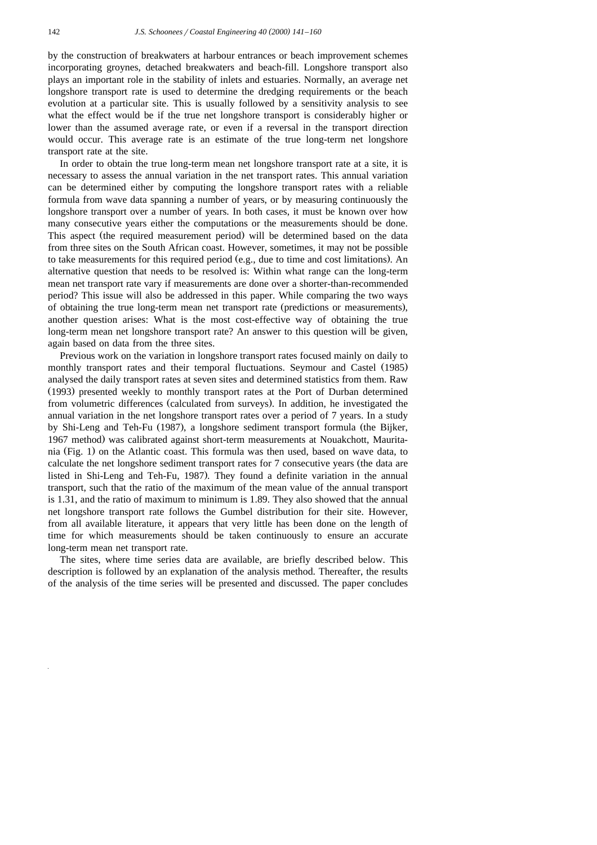by the construction of breakwaters at harbour entrances or beach improvement schemes incorporating groynes, detached breakwaters and beach-fill. Longshore transport also plays an important role in the stability of inlets and estuaries. Normally, an average net longshore transport rate is used to determine the dredging requirements or the beach evolution at a particular site. This is usually followed by a sensitivity analysis to see what the effect would be if the true net longshore transport is considerably higher or lower than the assumed average rate, or even if a reversal in the transport direction would occur. This average rate is an estimate of the true long-term net longshore transport rate at the site.

In order to obtain the true long-term mean net longshore transport rate at a site, it is necessary to assess the annual variation in the net transport rates. This annual variation can be determined either by computing the longshore transport rates with a reliable formula from wave data spanning a number of years, or by measuring continuously the longshore transport over a number of years. In both cases, it must be known over how many consecutive years either the computations or the measurements should be done. This aspect (the required measurement period) will be determined based on the data from three sites on the South African coast. However, sometimes, it may not be possible to take measurements for this required period (e.g., due to time and cost limitations). An alternative question that needs to be resolved is: Within what range can the long-term mean net transport rate vary if measurements are done over a shorter-than-recommended period? This issue will also be addressed in this paper. While comparing the two ways of obtaining the true long-term mean net transport rate (predictions or measurements), another question arises: What is the most cost-effective way of obtaining the true long-term mean net longshore transport rate? An answer to this question will be given, again based on data from the three sites.

Previous work on the variation in longshore transport rates focused mainly on daily to monthly transport rates and their temporal fluctuations. Seymour and Castel (1985) analysed the daily transport rates at seven sites and determined statistics from them. Raw (1993) presented weekly to monthly transport rates at the Port of Durban determined from volumetric differences (calculated from surveys). In addition, he investigated the annual variation in the net longshore transport rates over a period of 7 years. In a study by Shi-Leng and Teh-Fu (1987), a longshore sediment transport formula (the Bijker, 1967 method) was calibrated against short-term measurements at Nouakchott, Mauritania (Fig. 1) on the Atlantic coast. This formula was then used, based on wave data, to calculate the net longshore sediment transport rates for 7 consecutive years (the data are listed in Shi-Leng and Teh-Fu, 1987). They found a definite variation in the annual transport, such that the ratio of the maximum of the mean value of the annual transport is 1.31, and the ratio of maximum to minimum is 1.89. They also showed that the annual net longshore transport rate follows the Gumbel distribution for their site. However, from all available literature, it appears that very little has been done on the length of time for which measurements should be taken continuously to ensure an accurate long-term mean net transport rate.

The sites, where time series data are available, are briefly described below. This description is followed by an explanation of the analysis method. Thereafter, the results of the analysis of the time series will be presented and discussed. The paper concludes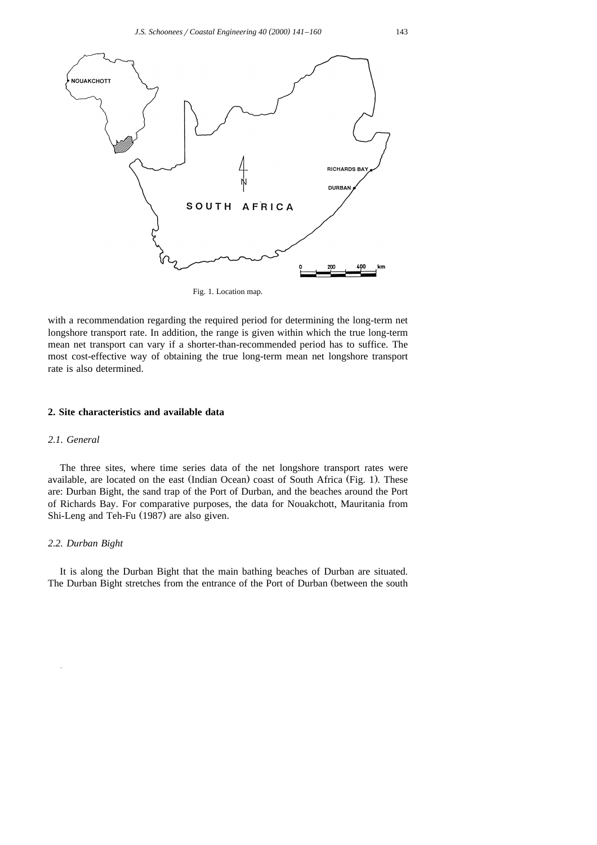

Fig. 1. Location map.

with a recommendation regarding the required period for determining the long-term net longshore transport rate. In addition, the range is given within which the true long-term mean net transport can vary if a shorter-than-recommended period has to suffice. The most cost-effective way of obtaining the true long-term mean net longshore transport rate is also determined.

## **2. Site characteristics and available data**

## *2.1. General*

The three sites, where time series data of the net longshore transport rates were available, are located on the east (Indian Ocean) coast of South Africa (Fig. 1). These are: Durban Bight, the sand trap of the Port of Durban, and the beaches around the Port of Richards Bay. For comparative purposes, the data for Nouakchott, Mauritania from Shi-Leng and Teh-Fu (1987) are also given.

## *2.2. Durban Bight*

It is along the Durban Bight that the main bathing beaches of Durban are situated. The Durban Bight stretches from the entrance of the Port of Durban (between the south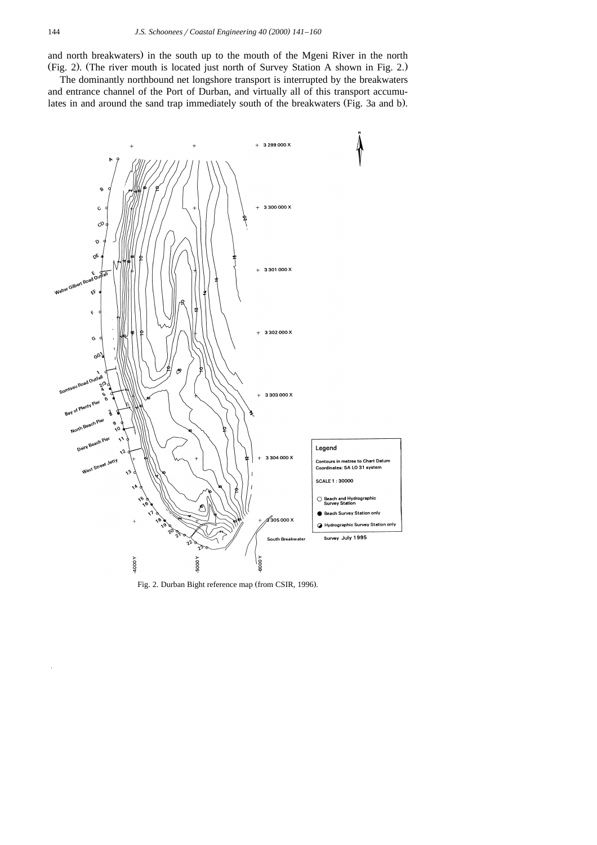and north breakwaters) in the south up to the mouth of the Mgeni River in the north (Fig. 2). (The river mouth is located just north of Survey Station A shown in Fig. 2.)

The dominantly northbound net longshore transport is interrupted by the breakwaters and entrance channel of the Port of Durban, and virtually all of this transport accumulates in and around the sand trap immediately south of the breakwaters (Fig. 3a and b).



Fig. 2. Durban Bight reference map (from CSIR, 1996).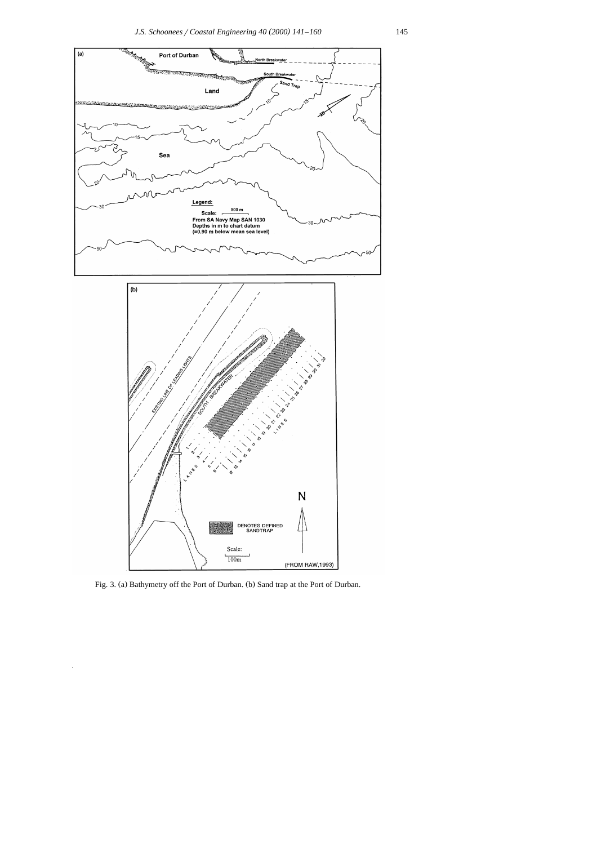

Fig. 3. (a) Bathymetry off the Port of Durban. (b) Sand trap at the Port of Durban.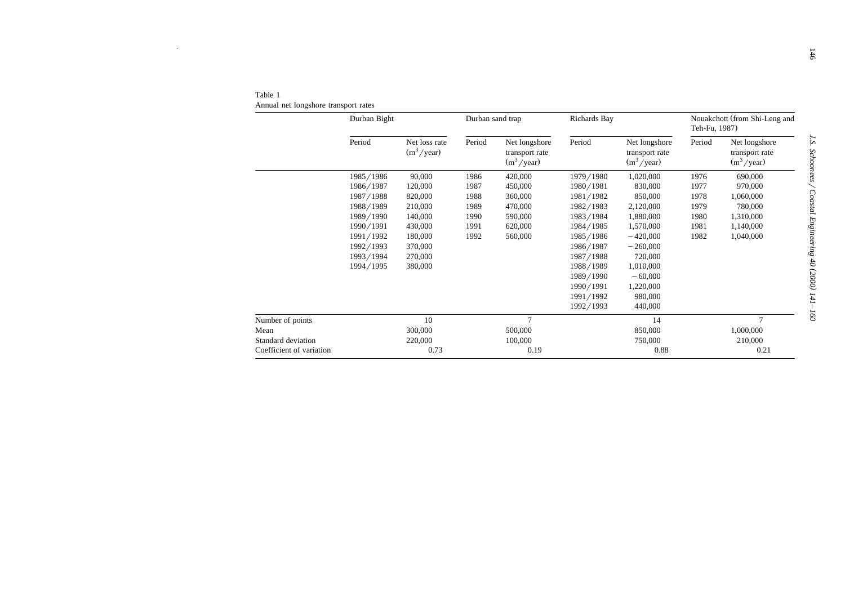| Table 1                              |  |  |
|--------------------------------------|--|--|
| Annual net longshore transport rates |  |  |

|                          | Annual net longshore transport rates |                                |                  |                                                                          |              |                                                  |                                                |                                                  |
|--------------------------|--------------------------------------|--------------------------------|------------------|--------------------------------------------------------------------------|--------------|--------------------------------------------------|------------------------------------------------|--------------------------------------------------|
|                          | Durban Bight                         |                                | Durban sand trap |                                                                          | Richards Bay |                                                  | Nouakchott (from Shi-Leng and<br>Teh-Fu, 1987) |                                                  |
|                          | Period                               | Net loss rate<br>$(m^3$ /year) | Period           | Net longshore<br>transport rate<br>$\left(\text{m}^3/\text{year}\right)$ | Period       | Net longshore<br>transport rate<br>$(m^3$ /year) | Period                                         | Net longshore<br>transport rate<br>$(m^3$ /year) |
|                          | 1985/1986                            | 90,000                         | 1986             | 420,000                                                                  | 1979/1980    | 1,020,000                                        | 1976                                           | 690,000                                          |
|                          | 1986/1987                            | 120,000                        | 1987             | 450,000                                                                  | 1980/1981    | 830,000                                          | 1977                                           | 970,000                                          |
|                          | 1987/1988                            | 820,000                        | 1988             | 360,000                                                                  | 1981/1982    | 850,000                                          | 1978                                           | 1,060,000                                        |
|                          | 1988/1989                            | 210,000                        | 1989             | 470,000                                                                  | 1982/1983    | 2,120,000                                        | 1979                                           | 780,000                                          |
|                          | 1989/1990                            | 140,000                        | 1990             | 590,000                                                                  | 1983/1984    | 1,880,000                                        | 1980                                           | 1,310,000                                        |
|                          | 1990/1991                            | 430,000                        | 1991             | 620,000                                                                  | 1984/1985    | 1,570,000                                        | 1981                                           | 1,140,000                                        |
|                          | 1991/1992                            | 180,000                        | 1992             | 560,000                                                                  | 1985/1986    | $-420,000$                                       | 1982                                           | 1,040,000                                        |
|                          | 1992/1993                            | 370,000                        |                  |                                                                          | 1986/1987    | $-260,000$                                       |                                                |                                                  |
|                          | 1993/1994                            | 270,000                        |                  |                                                                          | 1987/1988    | 720,000                                          |                                                |                                                  |
|                          | 1994/1995                            | 380,000                        |                  |                                                                          | 1988/1989    | 1,010,000                                        |                                                |                                                  |
|                          |                                      |                                |                  |                                                                          | 1989/1990    | $-60,000$                                        |                                                |                                                  |
|                          |                                      |                                |                  |                                                                          | 1990/1991    | 1,220,000                                        |                                                |                                                  |
|                          |                                      |                                |                  |                                                                          | 1991/1992    | 980,000                                          |                                                |                                                  |
|                          |                                      |                                |                  |                                                                          | 1992/1993    | 440,000                                          |                                                |                                                  |
| Number of points         |                                      | 10                             |                  | $\overline{7}$                                                           |              | 14                                               |                                                | $\overline{7}$                                   |
| Mean                     |                                      | 300,000                        |                  | 500,000                                                                  |              | 850,000                                          |                                                | 1,000,000                                        |
| Standard deviation       |                                      | 220,000                        |                  | 100,000                                                                  |              | 750,000                                          |                                                | 210,000                                          |
| Coefficient of variation |                                      | 0.73                           |                  | 0.19                                                                     |              | 0.88                                             |                                                | 0.21                                             |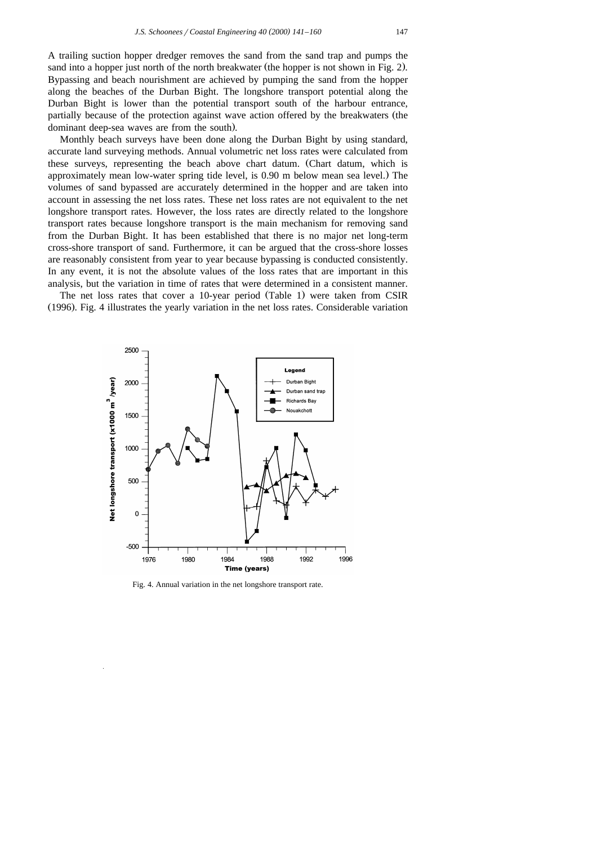A trailing suction hopper dredger removes the sand from the sand trap and pumps the sand into a hopper just north of the north breakwater (the hopper is not shown in Fig. 2). Bypassing and beach nourishment are achieved by pumping the sand from the hopper along the beaches of the Durban Bight. The longshore transport potential along the Durban Bight is lower than the potential transport south of the harbour entrance, partially because of the protection against wave action offered by the breakwaters (the dominant deep-sea waves are from the south).

Monthly beach surveys have been done along the Durban Bight by using standard, accurate land surveying methods. Annual volumetric net loss rates were calculated from these surveys, representing the beach above chart datum. Chart datum, which is Ž approximately mean low-water spring tide level, is 0.90 m below mean sea level.) The volumes of sand bypassed are accurately determined in the hopper and are taken into account in assessing the net loss rates. These net loss rates are not equivalent to the net longshore transport rates. However, the loss rates are directly related to the longshore transport rates because longshore transport is the main mechanism for removing sand from the Durban Bight. It has been established that there is no major net long-term cross-shore transport of sand. Furthermore, it can be argued that the cross-shore losses are reasonably consistent from year to year because bypassing is conducted consistently. In any event, it is not the absolute values of the loss rates that are important in this analysis, but the variation in time of rates that were determined in a consistent manner.

The net loss rates that cover a 10-year period (Table 1) were taken from CSIR Ž . 1996 . Fig. 4 illustrates the yearly variation in the net loss rates. Considerable variation



Fig. 4. Annual variation in the net longshore transport rate.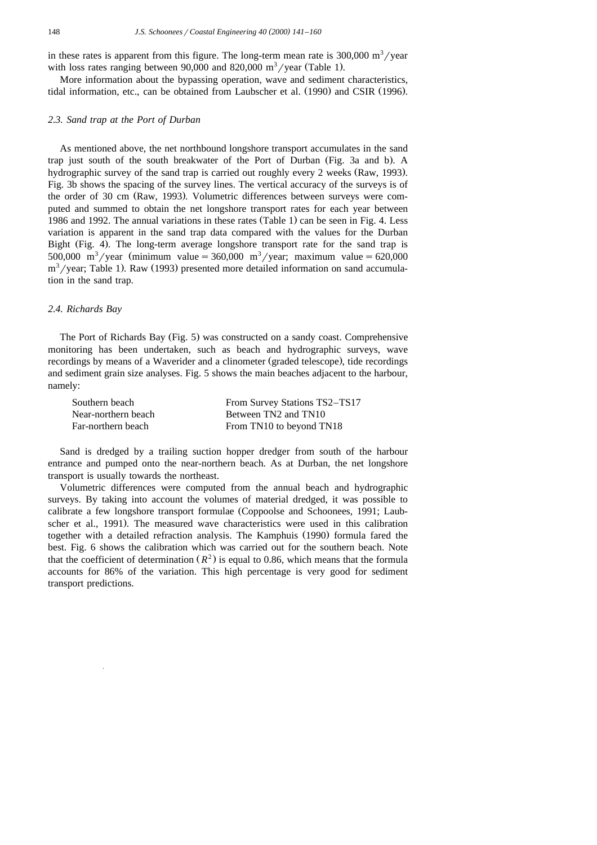in these rates is apparent from this figure. The long-term mean rate is  $300,000 \text{ m}^3/\text{year}$ with loss rates ranging between 90,000 and 820,000  $\text{m}^3$ /year (Table 1).

More information about the bypassing operation, wave and sediment characteristics, tidal information, etc., can be obtained from Laubscher et al.  $(1990)$  and CSIR  $(1996)$ .

## *2.3. Sand trap at the Port of Durban*

As mentioned above, the net northbound longshore transport accumulates in the sand trap just south of the south breakwater of the Port of Durban (Fig. 3a and b). A hydrographic survey of the sand trap is carried out roughly every 2 weeks (Raw, 1993). Fig. 3b shows the spacing of the survey lines. The vertical accuracy of the surveys is of the order of 30 cm (Raw, 1993). Volumetric differences between surveys were computed and summed to obtain the net longshore transport rates for each year between 1986 and 1992. The annual variations in these rates (Table 1) can be seen in Fig. 4. Less variation is apparent in the sand trap data compared with the values for the Durban Bight (Fig. 4). The long-term average longshore transport rate for the sand trap is  $500,000 \text{ m}^3/\text{year}$  (minimum value = 360,000 m<sup>3</sup>/year; maximum value = 620,000  $m<sup>3</sup>/year$ ; Table 1). Raw (1993) presented more detailed information on sand accumulation in the sand trap.

#### *2.4. Richards Bay*

The Port of Richards Bay (Fig. 5) was constructed on a sandy coast. Comprehensive monitoring has been undertaken, such as beach and hydrographic surveys, wave recordings by means of a Waverider and a clinometer (graded telescope), tide recordings and sediment grain size analyses. Fig. 5 shows the main beaches adjacent to the harbour, namely:

| Southern beach      | From Survey Stations TS2-TS17 |
|---------------------|-------------------------------|
| Near-northern beach | Between TN2 and TN10          |
| Far-northern beach  | From TN10 to beyond TN18      |

Sand is dredged by a trailing suction hopper dredger from south of the harbour entrance and pumped onto the near-northern beach. As at Durban, the net longshore transport is usually towards the northeast.

Volumetric differences were computed from the annual beach and hydrographic surveys. By taking into account the volumes of material dredged, it was possible to calibrate a few longshore transport formulae (Coppoolse and Schoonees, 1991; Laubscher et al., 1991). The measured wave characteristics were used in this calibration together with a detailed refraction analysis. The Kamphuis (1990) formula fared the best. Fig. 6 shows the calibration which was carried out for the southern beach. Note that the coefficient of determination  $(R^2)$  is equal to 0.86, which means that the formula accounts for 86% of the variation. This high percentage is very good for sediment transport predictions.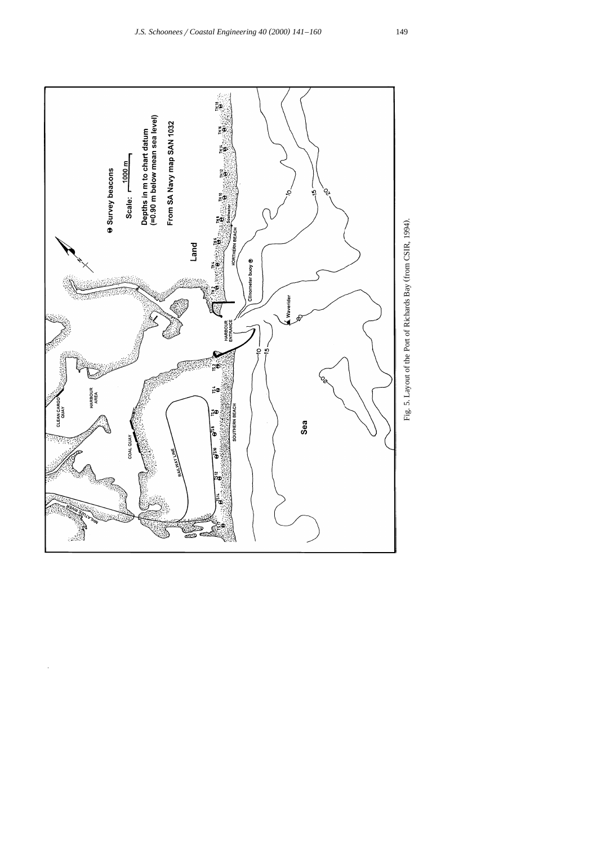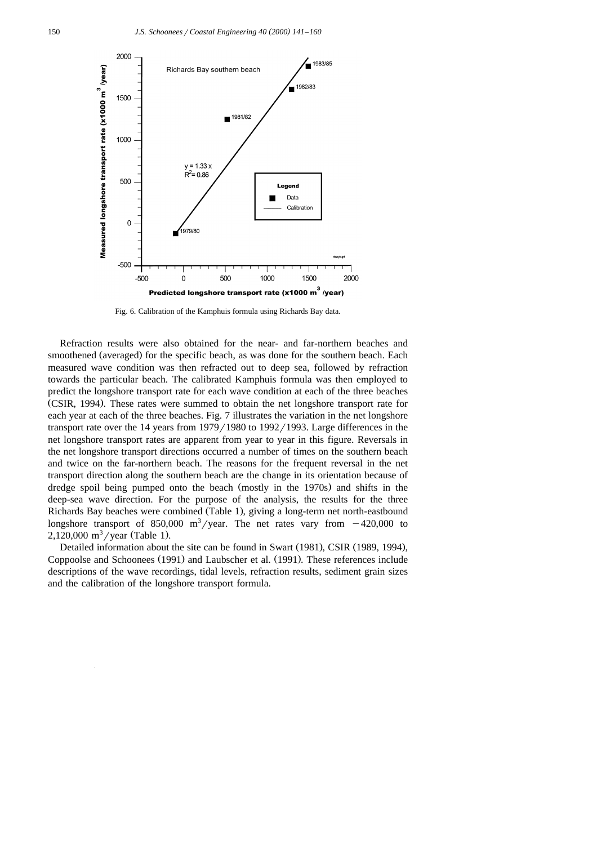

Fig. 6. Calibration of the Kamphuis formula using Richards Bay data.

Refraction results were also obtained for the near- and far-northern beaches and smoothened (averaged) for the specific beach, as was done for the southern beach. Each measured wave condition was then refracted out to deep sea, followed by refraction towards the particular beach. The calibrated Kamphuis formula was then employed to predict the longshore transport rate for each wave condition at each of the three beaches (CSIR, 1994). These rates were summed to obtain the net longshore transport rate for each year at each of the three beaches. Fig. 7 illustrates the variation in the net longshore transport rate over the 14 years from  $1979/1980$  to  $1992/1993$ . Large differences in the net longshore transport rates are apparent from year to year in this figure. Reversals in the net longshore transport directions occurred a number of times on the southern beach and twice on the far-northern beach. The reasons for the frequent reversal in the net transport direction along the southern beach are the change in its orientation because of dredge spoil being pumped onto the beach (mostly in the 1970s) and shifts in the deep-sea wave direction. For the purpose of the analysis, the results for the three Richards Bay beaches were combined (Table 1), giving a long-term net north-eastbound longshore transport of 850,000 m<sup>3</sup>/year. The net rates vary from  $-420,000$  to  $2,120,000 \text{ m}^3/\text{year}$  (Table 1).

Detailed information about the site can be found in Swart (1981), CSIR (1989, 1994), Coppoolse and Schoonees (1991) and Laubscher et al. (1991). These references include descriptions of the wave recordings, tidal levels, refraction results, sediment grain sizes and the calibration of the longshore transport formula.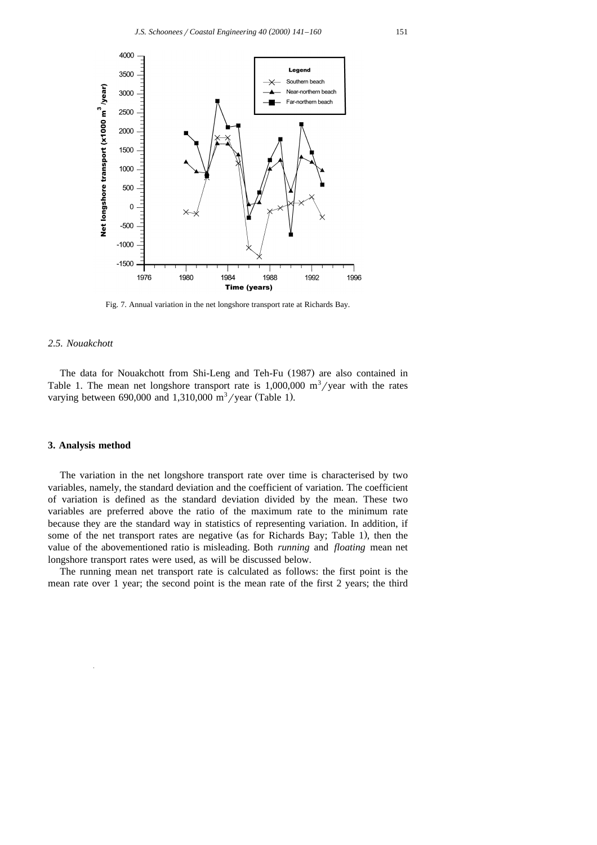

Fig. 7. Annual variation in the net longshore transport rate at Richards Bay.

## *2.5. Nouakchott*

The data for Nouakchott from Shi-Leng and Teh-Fu (1987) are also contained in Table 1. The mean net longshore transport rate is  $1,000,000$  m<sup>3</sup>/year with the rates varying between 690,000 and 1,310,000  $\text{m}^3/\text{year}$  (Table 1).

#### **3. Analysis method**

The variation in the net longshore transport rate over time is characterised by two variables, namely, the standard deviation and the coefficient of variation. The coefficient of variation is defined as the standard deviation divided by the mean. These two variables are preferred above the ratio of the maximum rate to the minimum rate because they are the standard way in statistics of representing variation. In addition, if some of the net transport rates are negative (as for Richards Bay; Table 1), then the value of the abovementioned ratio is misleading. Both *running* and *floating* mean net longshore transport rates were used, as will be discussed below.

The running mean net transport rate is calculated as follows: the first point is the mean rate over 1 year; the second point is the mean rate of the first 2 years; the third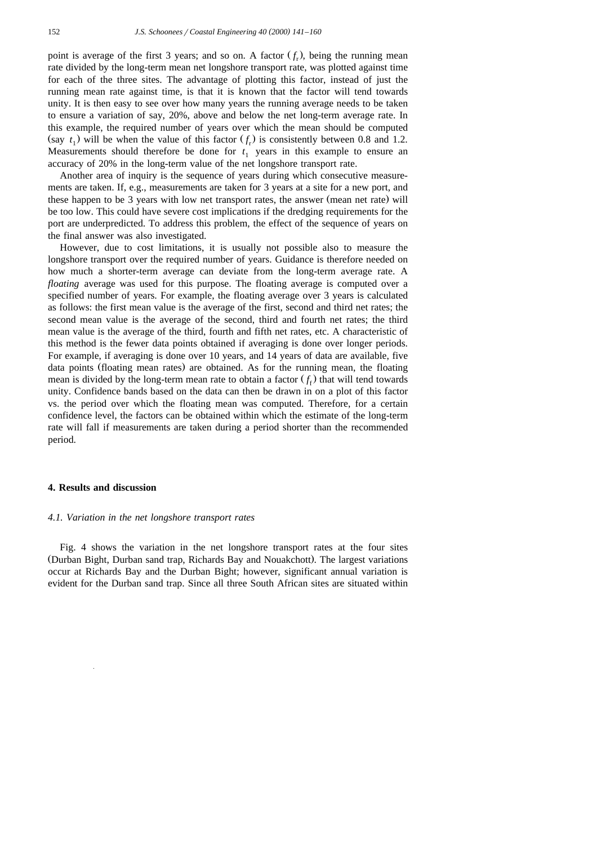point is average of the first 3 years; and so on. A factor  $(f_r)$ , being the running mean rate divided by the long-term mean net longshore transport rate, was plotted against time for each of the three sites. The advantage of plotting this factor, instead of just the running mean rate against time, is that it is known that the factor will tend towards unity. It is then easy to see over how many years the running average needs to be taken to ensure a variation of say, 20%, above and below the net long-term average rate. In this example, the required number of years over which the mean should be computed (say  $t_1$ ) will be when the value of this factor  $(f<sub>r</sub>)$  is consistently between 0.8 and 1.2. Measurements should therefore be done for  $t_1$  years in this example to ensure an accuracy of 20% in the long-term value of the net longshore transport rate.

Another area of inquiry is the sequence of years during which consecutive measurements are taken. If, e.g., measurements are taken for 3 years at a site for a new port, and these happen to be  $3$  years with low net transport rates, the answer (mean net rate) will be too low. This could have severe cost implications if the dredging requirements for the port are underpredicted. To address this problem, the effect of the sequence of years on the final answer was also investigated.

However, due to cost limitations, it is usually not possible also to measure the longshore transport over the required number of years. Guidance is therefore needed on how much a shorter-term average can deviate from the long-term average rate. A *floating* average was used for this purpose. The floating average is computed over a specified number of years. For example, the floating average over 3 years is calculated as follows: the first mean value is the average of the first, second and third net rates; the second mean value is the average of the second, third and fourth net rates; the third mean value is the average of the third, fourth and fifth net rates, etc. A characteristic of this method is the fewer data points obtained if averaging is done over longer periods. For example, if averaging is done over 10 years, and 14 years of data are available, five data points (floating mean rates) are obtained. As for the running mean, the floating mean is divided by the long-term mean rate to obtain a factor  $(f_f)$  that will tend towards unity. Confidence bands based on the data can then be drawn in on a plot of this factor vs. the period over which the floating mean was computed. Therefore, for a certain confidence level, the factors can be obtained within which the estimate of the long-term rate will fall if measurements are taken during a period shorter than the recommended period.

## **4. Results and discussion**

#### *4.1. Variation in the net longshore transport rates*

Fig. 4 shows the variation in the net longshore transport rates at the four sites (Durban Bight, Durban sand trap, Richards Bay and Nouakchott). The largest variations occur at Richards Bay and the Durban Bight; however, significant annual variation is evident for the Durban sand trap. Since all three South African sites are situated within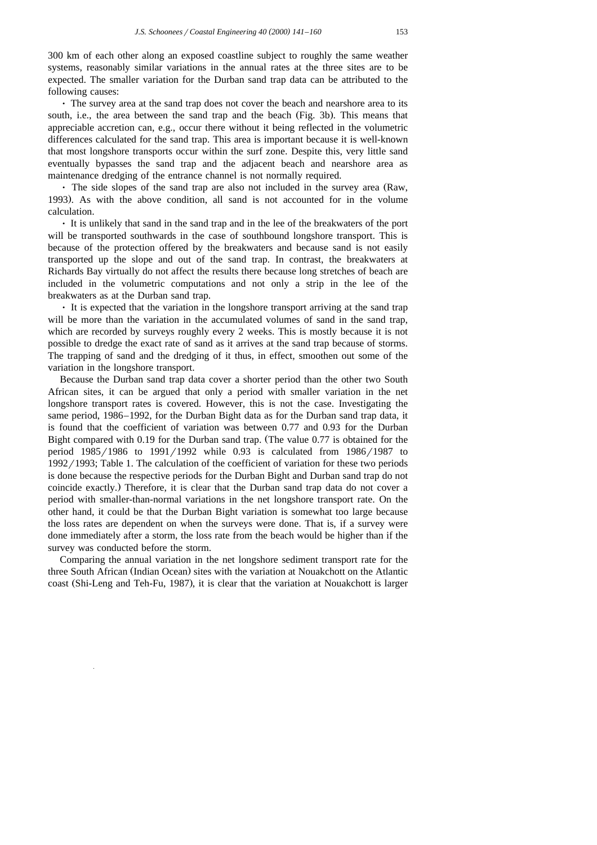300 km of each other along an exposed coastline subject to roughly the same weather systems, reasonably similar variations in the annual rates at the three sites are to be expected. The smaller variation for the Durban sand trap data can be attributed to the following causes:

Ø The survey area at the sand trap does not cover the beach and nearshore area to its south, i.e., the area between the sand trap and the beach (Fig. 3b). This means that appreciable accretion can, e.g., occur there without it being reflected in the volumetric differences calculated for the sand trap. This area is important because it is well-known that most longshore transports occur within the surf zone. Despite this, very little sand eventually bypasses the sand trap and the adjacent beach and nearshore area as maintenance dredging of the entrance channel is not normally required.

The side slopes of the sand trap are also not included in the survey area (Raw, 1993). As with the above condition, all sand is not accounted for in the volume calculation.

It is unlikely that sand in the sand trap and in the lee of the breakwaters of the port will be transported southwards in the case of southbound longshore transport. This is because of the protection offered by the breakwaters and because sand is not easily transported up the slope and out of the sand trap. In contrast, the breakwaters at Richards Bay virtually do not affect the results there because long stretches of beach are included in the volumetric computations and not only a strip in the lee of the breakwaters as at the Durban sand trap.

It is expected that the variation in the longshore transport arriving at the sand trap will be more than the variation in the accumulated volumes of sand in the sand trap, which are recorded by surveys roughly every 2 weeks. This is mostly because it is not possible to dredge the exact rate of sand as it arrives at the sand trap because of storms. The trapping of sand and the dredging of it thus, in effect, smoothen out some of the variation in the longshore transport.

Because the Durban sand trap data cover a shorter period than the other two South African sites, it can be argued that only a period with smaller variation in the net longshore transport rates is covered. However, this is not the case. Investigating the same period, 1986–1992, for the Durban Bight data as for the Durban sand trap data, it is found that the coefficient of variation was between 0.77 and 0.93 for the Durban Bight compared with 0.19 for the Durban sand trap. (The value 0.77 is obtained for the period 1985/1986 to 1991/1992 while 0.93 is calculated from 1986/1987 to 1992/1993; Table 1. The calculation of the coefficient of variation for these two periods is done because the respective periods for the Durban Bight and Durban sand trap do not coincide exactly.) Therefore, it is clear that the Durban sand trap data do not cover a period with smaller-than-normal variations in the net longshore transport rate. On the other hand, it could be that the Durban Bight variation is somewhat too large because the loss rates are dependent on when the surveys were done. That is, if a survey were done immediately after a storm, the loss rate from the beach would be higher than if the survey was conducted before the storm.

Comparing the annual variation in the net longshore sediment transport rate for the three South African (Indian Ocean) sites with the variation at Nouakchott on the Atlantic coast (Shi-Leng and Teh-Fu, 1987), it is clear that the variation at Nouakchott is larger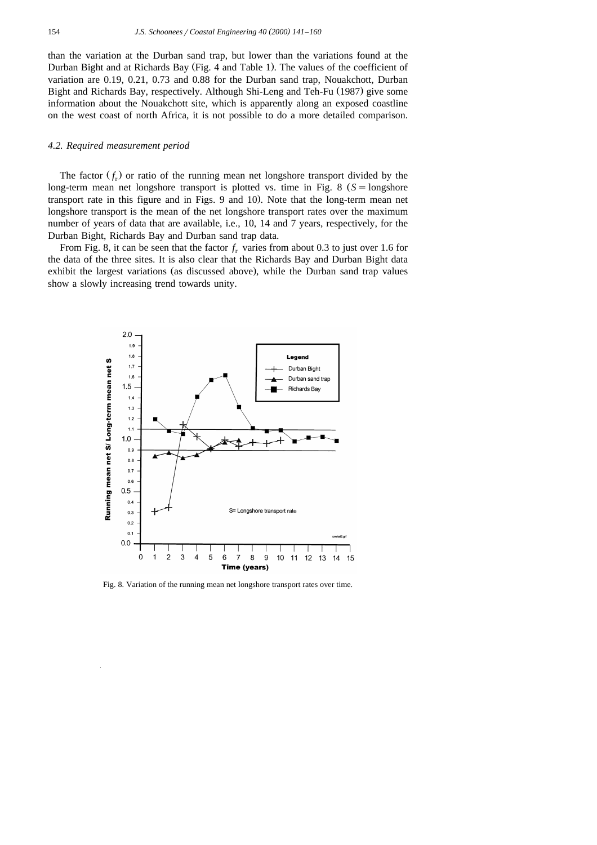than the variation at the Durban sand trap, but lower than the variations found at the Durban Bight and at Richards Bay (Fig. 4 and Table 1). The values of the coefficient of variation are 0.19, 0.21, 0.73 and 0.88 for the Durban sand trap, Nouakchott, Durban Bight and Richards Bay, respectively. Although Shi-Leng and Teh-Fu (1987) give some information about the Nouakchott site, which is apparently along an exposed coastline on the west coast of north Africa, it is not possible to do a more detailed comparison.

#### *4.2. Required measurement period*

The factor  $(f_r)$  or ratio of the running mean net longshore transport divided by the long-term mean net longshore transport is plotted vs. time in Fig.  $8(S = \text{longshore})$ transport rate in this figure and in Figs. 9 and 10). Note that the long-term mean net longshore transport is the mean of the net longshore transport rates over the maximum number of years of data that are available, i.e., 10, 14 and 7 years, respectively, for the Durban Bight, Richards Bay and Durban sand trap data.

From Fig. 8, it can be seen that the factor  $f_r$  varies from about 0.3 to just over 1.6 for the data of the three sites. It is also clear that the Richards Bay and Durban Bight data exhibit the largest variations (as discussed above), while the Durban sand trap values show a slowly increasing trend towards unity.



Fig. 8. Variation of the running mean net longshore transport rates over time.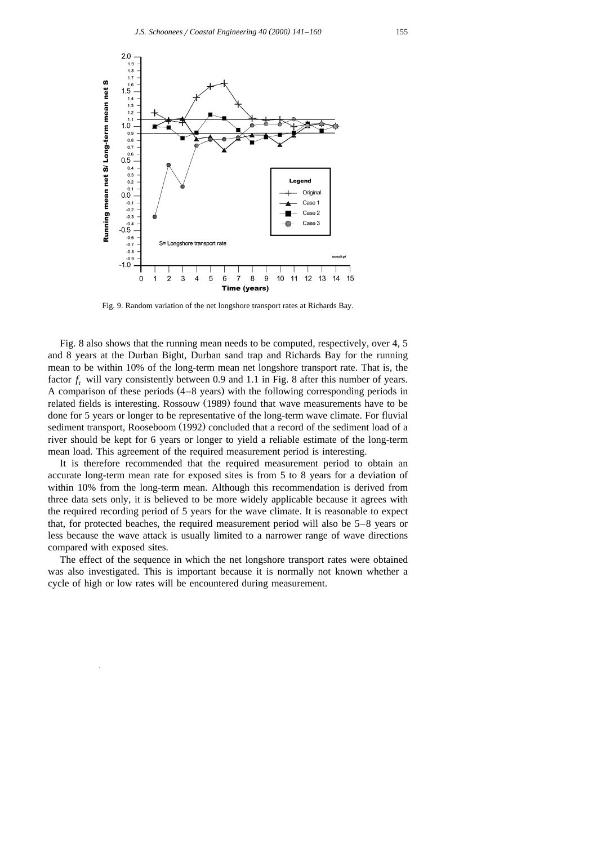

Fig. 9. Random variation of the net longshore transport rates at Richards Bay.

Fig. 8 also shows that the running mean needs to be computed, respectively, over 4, 5 and 8 years at the Durban Bight, Durban sand trap and Richards Bay for the running mean to be within 10% of the long-term mean net longshore transport rate. That is, the factor  $f_r$  will vary consistently between 0.9 and 1.1 in Fig. 8 after this number of years. A comparison of these periods  $(4-8$  years) with the following corresponding periods in related fields is interesting. Rossouw (1989) found that wave measurements have to be done for 5 years or longer to be representative of the long-term wave climate. For fluvial sediment transport, Rooseboom (1992) concluded that a record of the sediment load of a river should be kept for 6 years or longer to yield a reliable estimate of the long-term mean load. This agreement of the required measurement period is interesting.

It is therefore recommended that the required measurement period to obtain an accurate long-term mean rate for exposed sites is from 5 to 8 years for a deviation of within 10% from the long-term mean. Although this recommendation is derived from three data sets only, it is believed to be more widely applicable because it agrees with the required recording period of 5 years for the wave climate. It is reasonable to expect that, for protected beaches, the required measurement period will also be 5–8 years or less because the wave attack is usually limited to a narrower range of wave directions compared with exposed sites.

The effect of the sequence in which the net longshore transport rates were obtained was also investigated. This is important because it is normally not known whether a cycle of high or low rates will be encountered during measurement.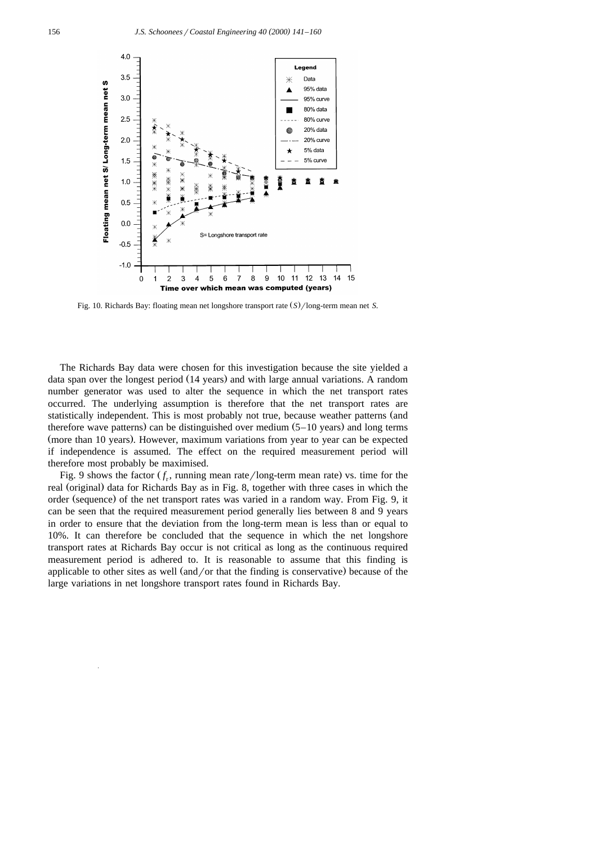

Fig. 10. Richards Bay: floating mean net longshore transport rate  $(S)/\text{long-term mean net } S$ .

The Richards Bay data were chosen for this investigation because the site yielded a data span over the longest period (14 years) and with large annual variations. A random number generator was used to alter the sequence in which the net transport rates occurred. The underlying assumption is therefore that the net transport rates are statistically independent. This is most probably not true, because weather patterns (and therefore wave patterns) can be distinguished over medium  $(5-10 \text{ years})$  and long terms (more than 10 years). However, maximum variations from year to year can be expected if independence is assumed. The effect on the required measurement period will therefore most probably be maximised.

Fig. 9 shows the factor  $(f_r,$  running mean rate/long-term mean rate) vs. time for the real (original) data for Richards Bay as in Fig. 8, together with three cases in which the order (sequence) of the net transport rates was varied in a random way. From Fig. 9, it can be seen that the required measurement period generally lies between 8 and 9 years in order to ensure that the deviation from the long-term mean is less than or equal to 10%. It can therefore be concluded that the sequence in which the net longshore transport rates at Richards Bay occur is not critical as long as the continuous required measurement period is adhered to. It is reasonable to assume that this finding is applicable to other sites as well  $(and/or that the finding is conservative)$  because of the large variations in net longshore transport rates found in Richards Bay.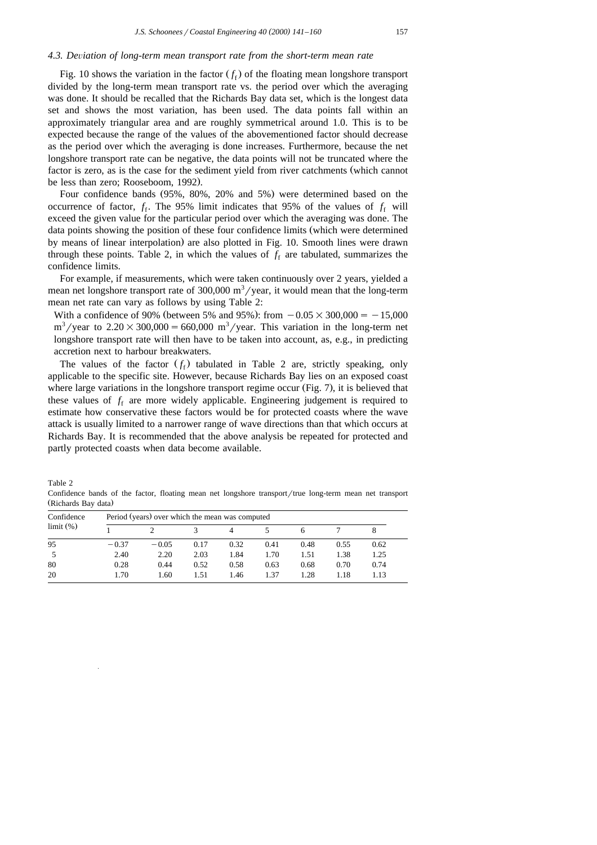#### 4.3. Deviation of long-term mean transport rate from the short-term mean rate

Fig. 10 shows the variation in the factor  $(f_f)$  of the floating mean longshore transport divided by the long-term mean transport rate vs. the period over which the averaging was done. It should be recalled that the Richards Bay data set, which is the longest data set and shows the most variation, has been used. The data points fall within an approximately triangular area and are roughly symmetrical around 1.0. This is to be expected because the range of the values of the abovementioned factor should decrease as the period over which the averaging is done increases. Furthermore, because the net longshore transport rate can be negative, the data points will not be truncated where the factor is zero, as is the case for the sediment yield from river catchments (which cannot be less than zero; Rooseboom, 1992).

Four confidence bands (95%, 80%, 20% and 5%) were determined based on the occurrence of factor,  $f_f$ . The 95% limit indicates that 95% of the values of  $f_f$  will exceed the given value for the particular period over which the averaging was done. The data points showing the position of these four confidence limits (which were determined by means of linear interpolation) are also plotted in Fig. 10. Smooth lines were drawn through these points. Table 2, in which the values of  $f<sub>f</sub>$  are tabulated, summarizes the confidence limits.

For example, if measurements, which were taken continuously over 2 years, yielded a mean net longshore transport rate of  $300,000 \text{ m}^3/\text{year}$ , it would mean that the long-term mean net rate can vary as follows by using Table 2:

With a confidence of 90% (between 5% and 95%): from  $-0.05 \times 300,000 = -15,000$  $m^3$ /year to  $2.20 \times 300,000 = 660,000 \text{ m}^3$ /year. This variation in the long-term net longshore transport rate will then have to be taken into account, as, e.g., in predicting accretion next to harbour breakwaters.

The values of the factor  $(f_f)$  tabulated in Table 2 are, strictly speaking, only applicable to the specific site. However, because Richards Bay lies on an exposed coast where large variations in the longshore transport regime occur (Fig. 7), it is believed that these values of  $f<sub>f</sub>$  are more widely applicable. Engineering judgement is required to estimate how conservative these factors would be for protected coasts where the wave attack is usually limited to a narrower range of wave directions than that which occurs at Richards Bay. It is recommended that the above analysis be repeated for protected and partly protected coasts when data become available.

Table 2

Confidence bands of the factor, floating mean net longshore transport/true long-term mean net transport (Richards Bay data)

| Confidence<br>limit (%) | Period (years) over which the mean was computed |         |      |      |      |      |      |      |  |
|-------------------------|-------------------------------------------------|---------|------|------|------|------|------|------|--|
|                         |                                                 |         |      |      |      |      |      |      |  |
| 95                      | $-0.37$                                         | $-0.05$ | 0.17 | 0.32 | 0.41 | 0.48 | 0.55 | 0.62 |  |
|                         | 2.40                                            | 2.20    | 2.03 | 1.84 | 1.70 | 1.51 | 1.38 | 1.25 |  |
| 80                      | 0.28                                            | 0.44    | 0.52 | 0.58 | 0.63 | 0.68 | 0.70 | 0.74 |  |
| 20                      | 1.70                                            | 1.60    | 1.51 | 1.46 | 1.37 | 1.28 | 1.18 | 1.13 |  |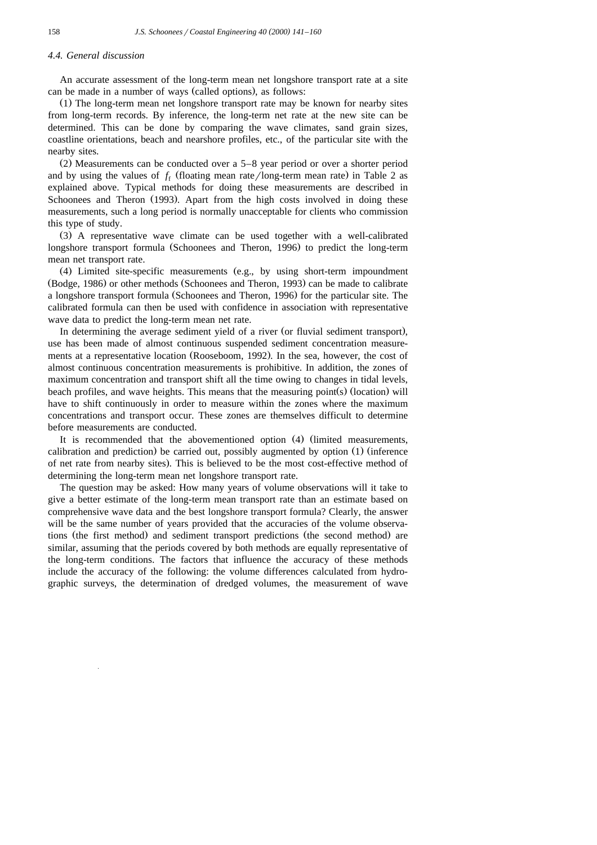## *4.4. General discussion*

An accurate assessment of the long-term mean net longshore transport rate at a site can be made in a number of ways (called options), as follows:

 $(1)$  The long-term mean net longshore transport rate may be known for nearby sites from long-term records. By inference, the long-term net rate at the new site can be determined. This can be done by comparing the wave climates, sand grain sizes, coastline orientations, beach and nearshore profiles, etc., of the particular site with the nearby sites.

 $(2)$  Measurements can be conducted over a 5–8 year period or over a shorter period and by using the values of  $f_f$  (floating mean rate/long-term mean rate) in Table 2 as explained above. Typical methods for doing these measurements are described in Schoonees and Theron (1993). Apart from the high costs involved in doing these measurements, such a long period is normally unacceptable for clients who commission this type of study.

Ž . 3 A representative wave climate can be used together with a well-calibrated longshore transport formula (Schoonees and Theron, 1996) to predict the long-term mean net transport rate.

 $(4)$  Limited site-specific measurements (e.g., by using short-term impoundment (Bodge, 1986) or other methods (Schoonees and Theron, 1993) can be made to calibrate a longshore transport formula (Schoonees and Theron, 1996) for the particular site. The calibrated formula can then be used with confidence in association with representative wave data to predict the long-term mean net rate.

In determining the average sediment yield of a river (or fluvial sediment transport), use has been made of almost continuous suspended sediment concentration measurements at a representative location (Rooseboom, 1992). In the sea, however, the cost of almost continuous concentration measurements is prohibitive. In addition, the zones of maximum concentration and transport shift all the time owing to changes in tidal levels, beach profiles, and wave heights. This means that the measuring point (s) (location) will have to shift continuously in order to measure within the zones where the maximum concentrations and transport occur. These zones are themselves difficult to determine before measurements are conducted.

It is recommended that the abovementioned option (4) (limited measurements, calibration and prediction) be carried out, possibly augmented by option (1) (inference of net rate from nearby sites). This is believed to be the most cost-effective method of determining the long-term mean net longshore transport rate.

The question may be asked: How many years of volume observations will it take to give a better estimate of the long-term mean transport rate than an estimate based on comprehensive wave data and the best longshore transport formula? Clearly, the answer will be the same number of years provided that the accuracies of the volume observations (the first method) and sediment transport predictions (the second method) are similar, assuming that the periods covered by both methods are equally representative of the long-term conditions. The factors that influence the accuracy of these methods include the accuracy of the following: the volume differences calculated from hydrographic surveys, the determination of dredged volumes, the measurement of wave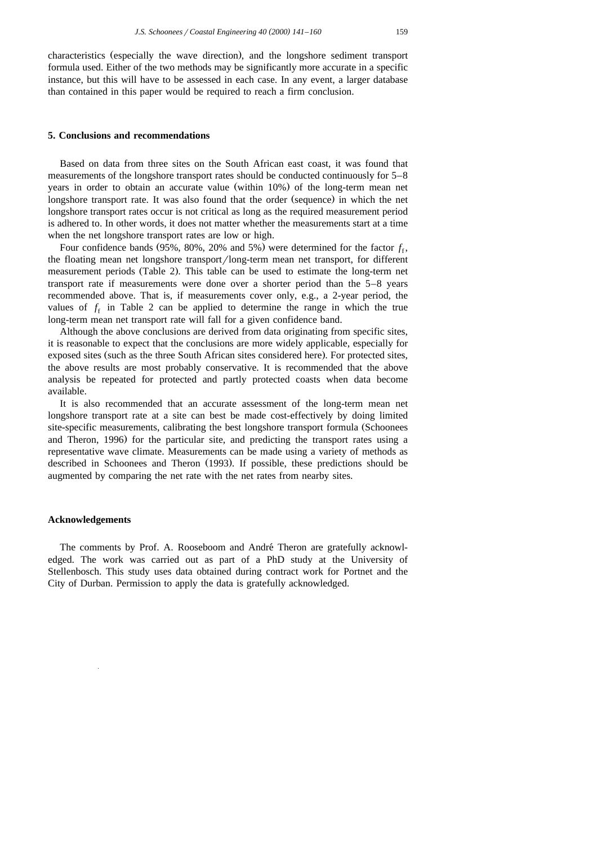characteristics (especially the wave direction), and the longshore sediment transport formula used. Either of the two methods may be significantly more accurate in a specific instance, but this will have to be assessed in each case. In any event, a larger database than contained in this paper would be required to reach a firm conclusion.

#### **5. Conclusions and recommendations**

Based on data from three sites on the South African east coast, it was found that measurements of the longshore transport rates should be conducted continuously for 5–8 years in order to obtain an accurate value (within 10%) of the long-term mean net longshore transport rate. It was also found that the order (sequence) in which the net longshore transport rates occur is not critical as long as the required measurement period is adhered to. In other words, it does not matter whether the measurements start at a time when the net longshore transport rates are low or high.

Four confidence bands (95%, 80%, 20% and 5%) were determined for the factor  $f<sub>f</sub>$ , the floating mean net longshore transport/long-term mean net transport, for different measurement periods (Table 2). This table can be used to estimate the long-term net transport rate if measurements were done over a shorter period than the 5–8 years recommended above. That is, if measurements cover only, e.g., a 2-year period, the values of  $f_f$  in Table 2 can be applied to determine the range in which the true long-term mean net transport rate will fall for a given confidence band.

Although the above conclusions are derived from data originating from specific sites, it is reasonable to expect that the conclusions are more widely applicable, especially for exposed sites (such as the three South African sites considered here). For protected sites, the above results are most probably conservative. It is recommended that the above analysis be repeated for protected and partly protected coasts when data become available.

It is also recommended that an accurate assessment of the long-term mean net longshore transport rate at a site can best be made cost-effectively by doing limited site-specific measurements, calibrating the best longshore transport formula (Schoonees and Theron, 1996) for the particular site, and predicting the transport rates using a representative wave climate. Measurements can be made using a variety of methods as described in Schoonees and Theron (1993). If possible, these predictions should be augmented by comparing the net rate with the net rates from nearby sites.

## **Acknowledgements**

The comments by Prof. A. Rooseboom and André Theron are gratefully acknowledged. The work was carried out as part of a PhD study at the University of Stellenbosch. This study uses data obtained during contract work for Portnet and the City of Durban. Permission to apply the data is gratefully acknowledged.